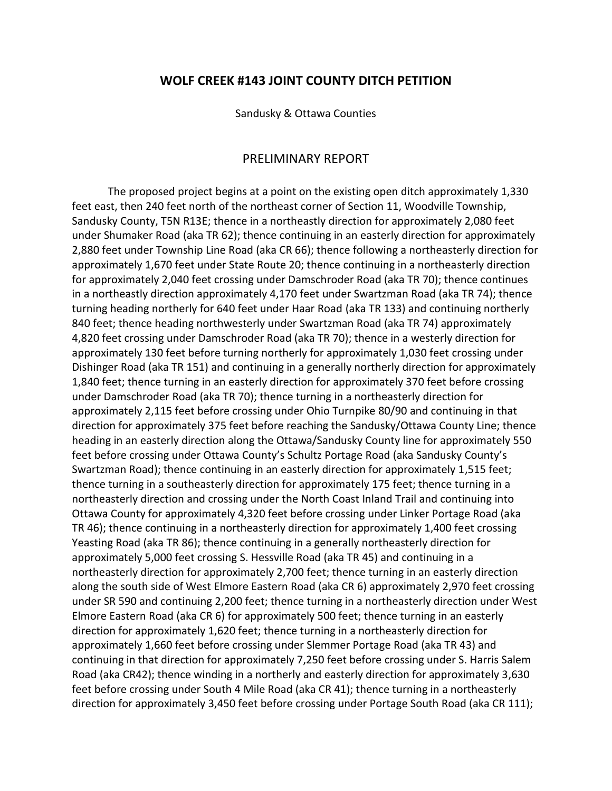## **WOLF CREEK #143 JOINT COUNTY DITCH PETITION**

Sandusky & Ottawa Counties

## PRELIMINARY REPORT

The proposed project begins at a point on the existing open ditch approximately 1,330 feet east, then 240 feet north of the northeast corner of Section 11, Woodville Township, Sandusky County, T5N R13E; thence in a northeastly direction for approximately 2,080 feet under Shumaker Road (aka TR 62); thence continuing in an easterly direction for approximately 2,880 feet under Township Line Road (aka CR 66); thence following a northeasterly direction for approximately 1,670 feet under State Route 20; thence continuing in a northeasterly direction for approximately 2,040 feet crossing under Damschroder Road (aka TR 70); thence continues in a northeastly direction approximately 4,170 feet under Swartzman Road (aka TR 74); thence turning heading northerly for 640 feet under Haar Road (aka TR 133) and continuing northerly 840 feet; thence heading northwesterly under Swartzman Road (aka TR 74) approximately 4,820 feet crossing under Damschroder Road (aka TR 70); thence in a westerly direction for approximately 130 feet before turning northerly for approximately 1,030 feet crossing under Dishinger Road (aka TR 151) and continuing in a generally northerly direction for approximately 1,840 feet; thence turning in an easterly direction for approximately 370 feet before crossing under Damschroder Road (aka TR 70); thence turning in a northeasterly direction for approximately 2,115 feet before crossing under Ohio Turnpike 80/90 and continuing in that direction for approximately 375 feet before reaching the Sandusky/Ottawa County Line; thence heading in an easterly direction along the Ottawa/Sandusky County line for approximately 550 feet before crossing under Ottawa County's Schultz Portage Road (aka Sandusky County's Swartzman Road); thence continuing in an easterly direction for approximately 1,515 feet; thence turning in a southeasterly direction for approximately 175 feet; thence turning in a northeasterly direction and crossing under the North Coast Inland Trail and continuing into Ottawa County for approximately 4,320 feet before crossing under Linker Portage Road (aka TR 46); thence continuing in a northeasterly direction for approximately 1,400 feet crossing Yeasting Road (aka TR 86); thence continuing in a generally northeasterly direction for approximately 5,000 feet crossing S. Hessville Road (aka TR 45) and continuing in a northeasterly direction for approximately 2,700 feet; thence turning in an easterly direction along the south side of West Elmore Eastern Road (aka CR 6) approximately 2,970 feet crossing under SR 590 and continuing 2,200 feet; thence turning in a northeasterly direction under West Elmore Eastern Road (aka CR 6) for approximately 500 feet; thence turning in an easterly direction for approximately 1,620 feet; thence turning in a northeasterly direction for approximately 1,660 feet before crossing under Slemmer Portage Road (aka TR 43) and continuing in that direction for approximately 7,250 feet before crossing under S. Harris Salem Road (aka CR42); thence winding in a northerly and easterly direction for approximately 3,630 feet before crossing under South 4 Mile Road (aka CR 41); thence turning in a northeasterly direction for approximately 3,450 feet before crossing under Portage South Road (aka CR 111);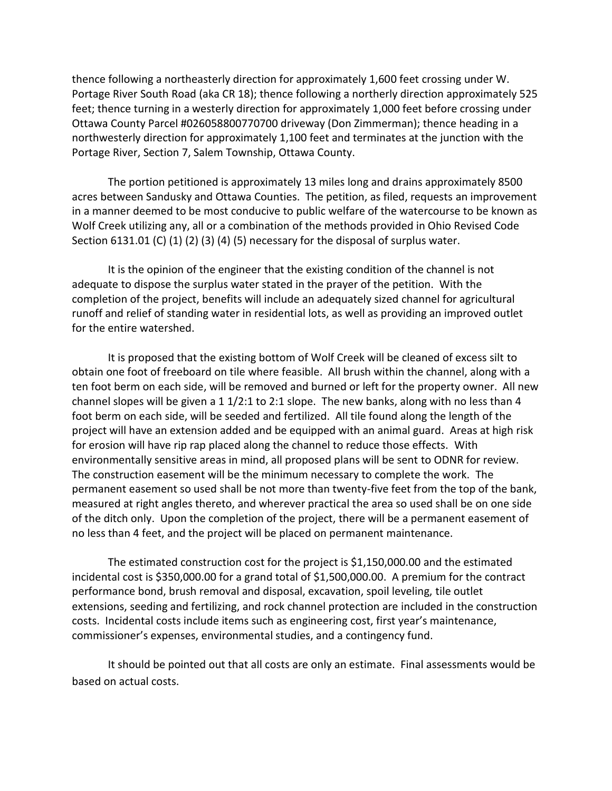thence following a northeasterly direction for approximately 1,600 feet crossing under W. Portage River South Road (aka CR 18); thence following a northerly direction approximately 525 feet; thence turning in a westerly direction for approximately 1,000 feet before crossing under Ottawa County Parcel #026058800770700 driveway (Don Zimmerman); thence heading in a northwesterly direction for approximately 1,100 feet and terminates at the junction with the Portage River, Section 7, Salem Township, Ottawa County.

The portion petitioned is approximately 13 miles long and drains approximately 8500 acres between Sandusky and Ottawa Counties. The petition, as filed, requests an improvement in a manner deemed to be most conducive to public welfare of the watercourse to be known as Wolf Creek utilizing any, all or a combination of the methods provided in Ohio Revised Code Section 6131.01 (C) (1) (2) (3) (4) (5) necessary for the disposal of surplus water.

It is the opinion of the engineer that the existing condition of the channel is not adequate to dispose the surplus water stated in the prayer of the petition. With the completion of the project, benefits will include an adequately sized channel for agricultural runoff and relief of standing water in residential lots, as well as providing an improved outlet for the entire watershed.

It is proposed that the existing bottom of Wolf Creek will be cleaned of excess silt to obtain one foot of freeboard on tile where feasible. All brush within the channel, along with a ten foot berm on each side, will be removed and burned or left for the property owner. All new channel slopes will be given a  $1 \frac{1}{2}$ :1 to 2:1 slope. The new banks, along with no less than 4 foot berm on each side, will be seeded and fertilized. All tile found along the length of the project will have an extension added and be equipped with an animal guard. Areas at high risk for erosion will have rip rap placed along the channel to reduce those effects. With environmentally sensitive areas in mind, all proposed plans will be sent to ODNR for review. The construction easement will be the minimum necessary to complete the work. The permanent easement so used shall be not more than twenty-five feet from the top of the bank, measured at right angles thereto, and wherever practical the area so used shall be on one side of the ditch only. Upon the completion of the project, there will be a permanent easement of no less than 4 feet, and the project will be placed on permanent maintenance.

The estimated construction cost for the project is \$1,150,000.00 and the estimated incidental cost is \$350,000.00 for a grand total of \$1,500,000.00. A premium for the contract performance bond, brush removal and disposal, excavation, spoil leveling, tile outlet extensions, seeding and fertilizing, and rock channel protection are included in the construction costs. Incidental costs include items such as engineering cost, first year's maintenance, commissioner's expenses, environmental studies, and a contingency fund.

It should be pointed out that all costs are only an estimate. Final assessments would be based on actual costs.